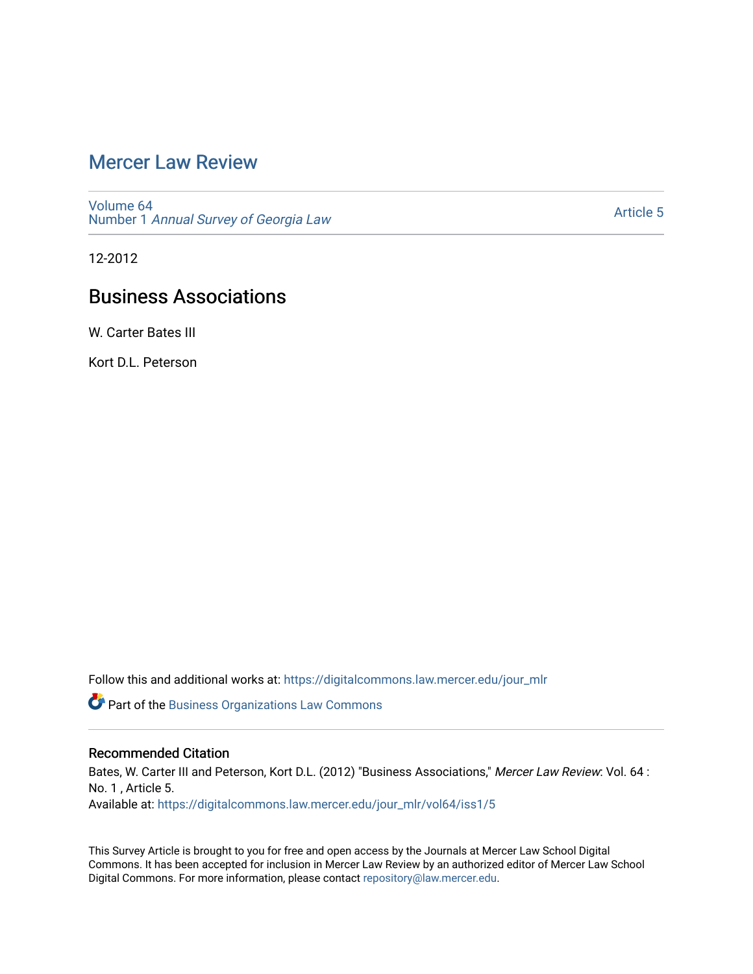## [Mercer Law Review](https://digitalcommons.law.mercer.edu/jour_mlr)

[Volume 64](https://digitalcommons.law.mercer.edu/jour_mlr/vol64) Number 1 [Annual Survey of Georgia Law](https://digitalcommons.law.mercer.edu/jour_mlr/vol64/iss1) 

[Article 5](https://digitalcommons.law.mercer.edu/jour_mlr/vol64/iss1/5) 

12-2012

# Business Associations

W. Carter Bates III

Kort D.L. Peterson

Follow this and additional works at: [https://digitalcommons.law.mercer.edu/jour\\_mlr](https://digitalcommons.law.mercer.edu/jour_mlr?utm_source=digitalcommons.law.mercer.edu%2Fjour_mlr%2Fvol64%2Fiss1%2F5&utm_medium=PDF&utm_campaign=PDFCoverPages)

**Part of the [Business Organizations Law Commons](http://network.bepress.com/hgg/discipline/900?utm_source=digitalcommons.law.mercer.edu%2Fjour_mlr%2Fvol64%2Fiss1%2F5&utm_medium=PDF&utm_campaign=PDFCoverPages)** 

## Recommended Citation

Bates, W. Carter III and Peterson, Kort D.L. (2012) "Business Associations," Mercer Law Review: Vol. 64 : No. 1 , Article 5. Available at: [https://digitalcommons.law.mercer.edu/jour\\_mlr/vol64/iss1/5](https://digitalcommons.law.mercer.edu/jour_mlr/vol64/iss1/5?utm_source=digitalcommons.law.mercer.edu%2Fjour_mlr%2Fvol64%2Fiss1%2F5&utm_medium=PDF&utm_campaign=PDFCoverPages)

This Survey Article is brought to you for free and open access by the Journals at Mercer Law School Digital Commons. It has been accepted for inclusion in Mercer Law Review by an authorized editor of Mercer Law School Digital Commons. For more information, please contact [repository@law.mercer.edu](mailto:repository@law.mercer.edu).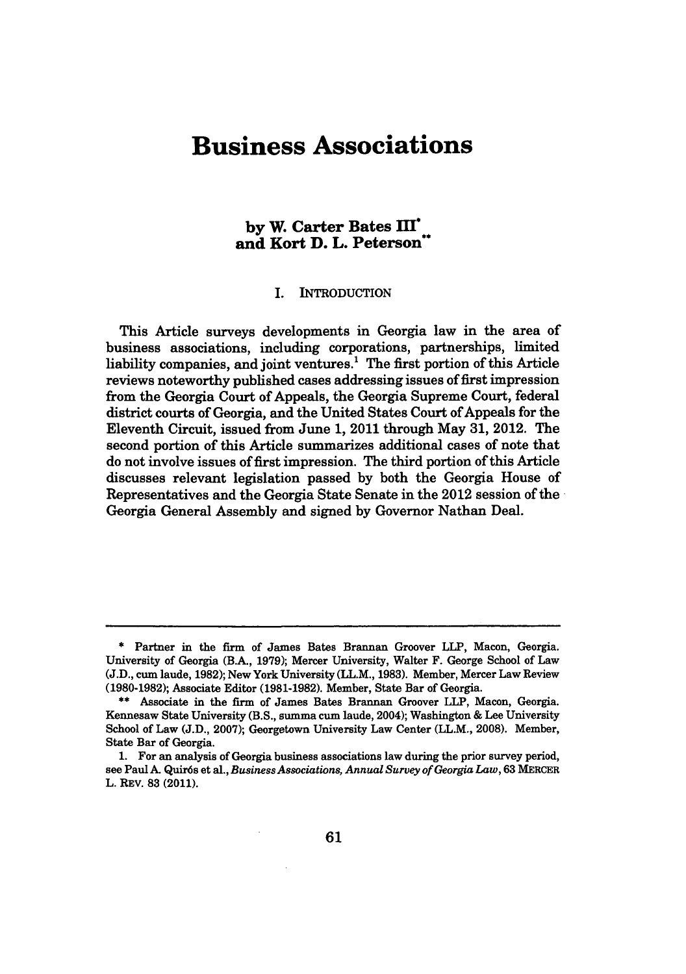# **Business Associations**

## **by W. Carter Bates MI" and Kort D. L. Peterson"**

#### I. INTRODUCTION

This Article surveys developments in Georgia law in the area of business associations, including corporations, partnerships, limited liability companies, and joint ventures.' The first portion of this Article reviews noteworthy published cases addressing issues of first impression from the Georgia Court of Appeals, the Georgia Supreme Court, federal district courts of Georgia, and the United States Court of Appeals for the Eleventh Circuit, issued from June 1, 2011 through May 31, 2012. The second portion of this Article summarizes additional cases of note that do not involve issues of first impression. The third portion of this Article discusses relevant legislation passed by both the Georgia House of Representatives and the Georgia State Senate in the 2012 session of the Georgia General Assembly and signed by Governor Nathan Deal.

**<sup>\*</sup>** Partner in the firm of James Bates Brannan Groover LLP, Macon, Georgia. University of Georgia (B.A., 1979); Mercer University, Walter F. George School of Law (J.D., cum laude, 1982); New York University (LL.M., 1983). Member, Mercer Law Review (1980-1982); Associate Editor (1981-1982). Member, State Bar of Georgia.

<sup>\*\*</sup> Associate in the firm of James Bates Brannan Groover LLP, Macon, Georgia. Kennesaw State University (B.S., summa cum laude, 2004); Washington & Lee University School of Law (J.D., 2007); Georgetown University Law Center (LL.M., 2008). Member, State Bar of Georgia.

<sup>1.</sup> For an analysis of Georgia business associations law during the prior survey period, see Paul A. Quir6s et al., *Business Associations, Annual Survey of Georgia Law,* 63 MERCER L. REV. **83** (2011).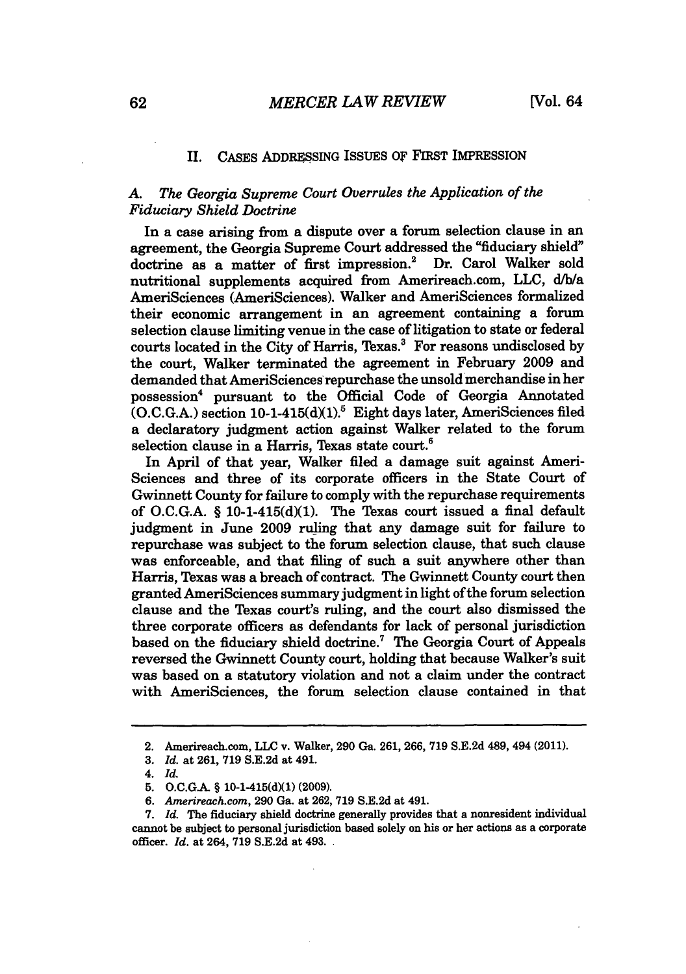#### II. CASES ADDRESSING ISSUES OF FIRST IMPRESSION

### *A. The Georgia Supreme Court Overrules the Application of the Fiduciary Shield Doctrine*

In a case arising from a dispute over a forum selection clause in an agreement, the Georgia Supreme Court addressed the "fiduciary shield" doctrine as a matter of first impression.<sup>2</sup> Dr. Carol Walker sold nutritional supplements acquired from Amerireach.com, LLC, d/b/a AmeriSciences (AmeriSciences). Walker and AmeriSciences formalized their economic arrangement in an agreement containing a forum selection clause limiting venue in the case of litigation to state or federal courts located in the City of Harris, Texas.' For reasons undisclosed by the court, Walker terminated the agreement in February 2009 and demanded that AmeriSciences repurchase the unsold merchandise in her possession<sup>4</sup> pursuant to the Official Code of Georgia Annotated  $(O.C.G.A.)$  section 10-1-415(d)(1).<sup>5</sup> Eight days later, AmeriSciences filed a declaratory judgment action against Walker related to the forum selection clause in a Harris, Texas state court **.**

In April of that year, Walker filed a damage suit against Ameri-Sciences and three of its corporate officers in the State Court of Gwinnett County for failure to comply with the repurchase requirements of O.C.G.A.  $\S$  10-1-415(d)(1). The Texas court issued a final default judgment in June 2009 ruling that any damage suit for failure to repurchase was subject to the forum selection clause, that such clause was enforceable, and that filing of such a suit anywhere other than Harris, Texas was a breach of contract. The Gwinnett County court then granted AmeriSciences summary judgment in light of the forum selection clause and the Texas court's ruling, and the court also dismissed the three corporate officers as defendants for lack of personal jurisdiction based on the fiduciary shield doctrine.' The Georgia Court of Appeals reversed the Gwinnett County court, holding that because Walker's suit was based on a statutory violation and not a claim under the contract with AmeriSciences, the forum selection clause contained in that

<sup>2.</sup> Amerireach.com, **LLC** v. Walker, 290 Ga. 261, 266, **719** S.E.2d 489, 494 (2011).

**<sup>3.</sup>** *Id.* at 261, **719** S.E.2d at 491.

<sup>4.</sup> *Id.*

<sup>5.</sup> O.C.G.A. § 10-1-415(d)(1) (2009).

*<sup>6.</sup> Arnerireach.com,* 290 Ga. at 262, 719 S.E.2d at 491.

<sup>7.</sup> *Id.* The fiduciary shield doctrine generally provides that a nonresident individual cannot be subject to personal jurisdiction based solely on his or her actions as a corporate officer. *Id.* at 264, 719 S.E.2d at 493.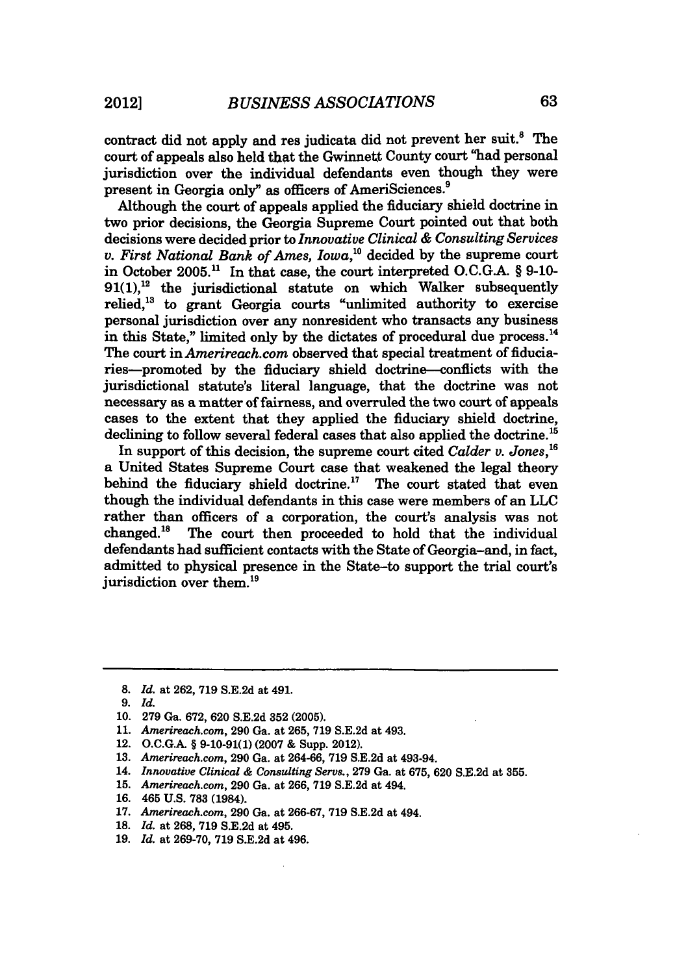contract did not apply and res judicata did not prevent her suit.<sup>8</sup> The court of appeals also held that the Gwinnett County court "had personal jurisdiction over the individual defendants even though they were present in Georgia only" as officers of AmeriSciences.<sup>9</sup>

Although the court of appeals applied the fiduciary shield doctrine in two prior decisions, the Georgia Supreme Court pointed out that both decisions were decided prior to *Innovative Clinical & Consulting Services v. First National Bank of Ames, Iowa,"* decided by the supreme court in October 2005.11 In that case, the court interpreted O.C.G.A. § 9-10-  $91(1)$ ,<sup>12</sup> the jurisdictional statute on which Walker subsequently relied,<sup>13</sup> to grant Georgia courts "unlimited authority to exercise personal jurisdiction over any nonresident who transacts any business in this State," limited only by the dictates of procedural due process. $<sup>14</sup>$ </sup> The court in *Amerireach.com* observed that special treatment of fiduciaries-promoted by the fiduciary shield doctrine-conflicts with the jurisdictional statute's literal language, that the doctrine was not necessary as a matter of fairness, and overruled the two court of appeals cases to the extent that they applied the fiduciary shield doctrine, declining to follow several federal cases that also applied the doctrine.<sup>15</sup>

In support of this decision, the supreme court cited *Calder v. Jones*,<sup>16</sup> a United States Supreme Court case that weakened the legal theory behind the fiduciary shield doctrine.<sup>17</sup> The court stated that even though the individual defendants in this case were members of an **LLC** rather than officers of a corporation, the court's analysis was not changed.'8 The court then proceeded to hold that the individual defendants had sufficient contacts with the State of Georgia-and, in fact, admitted to physical presence in the State-to support the trial court's jurisdiction over them.<sup>19</sup>

**<sup>8.</sup>** *Id.* at 262, 719 S.E.2d at 491.

*<sup>9.</sup> Id.*

<sup>10. 279</sup> Ga. 672, 620 S.E.2d 352 (2005).

<sup>11.</sup> *Amerireach.com,* **290** Ga. at 265, 719 S.E.2d at 493.

<sup>12.</sup> O.C.G.A. § 9-10-91(1) (2007 & Supp. 2012).

**<sup>13.</sup>** *Amerireach.corn,* **290** Ga. at 264-66, 719 S.E.2d at 493-94.

<sup>14.</sup> *Innovative Clinical & Consulting Servs.,* 279 Ga. at 675, 620 S.E.2d at **355.**

**<sup>15.</sup>** *Arnerireach.corn,* 290 Ga. at 266, 719 S.E.2d at 494.

<sup>16. 465</sup> U.S. **783** (1984).

**<sup>17.</sup>** *Amerireach.com,* 290 Ga. at 266-67, **719** S.E.2d at 494.

**<sup>18.</sup>** *Id.* at 268, 719 S.E.2d at 495.

<sup>19.</sup> *Id.* at 269-70, 719 S.E.2d at 496.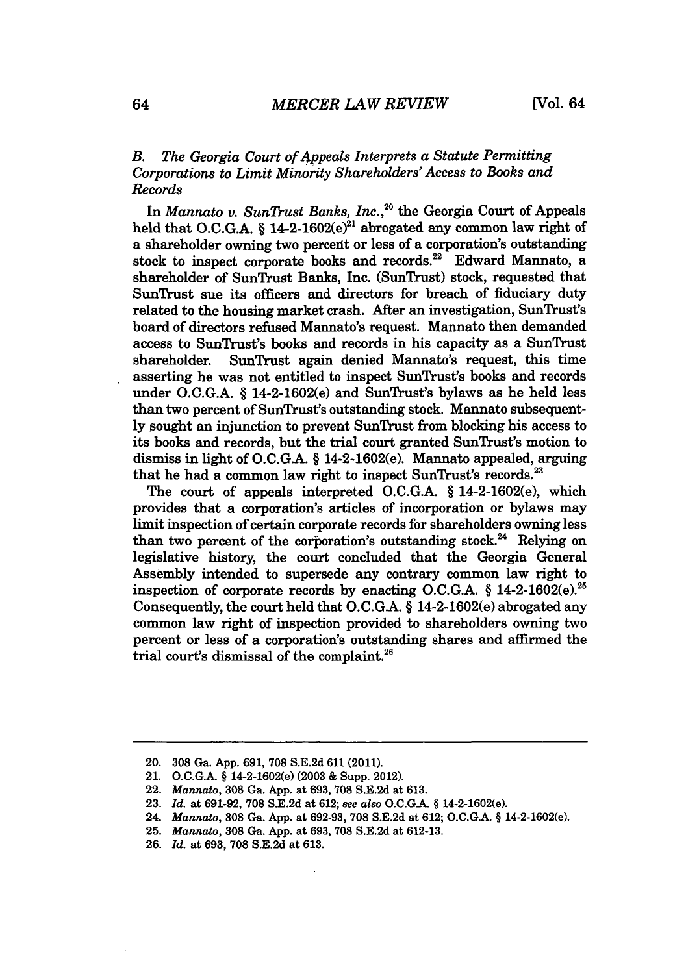### *B. The Georgia Court of 4ppeals Interprets a Statute Permitting Corporations to Limit Minority Shareholders' Access to Books and Records*

In *Mannato v. SunTrust Banks, Inc.*,<sup>20</sup> the Georgia Court of Appeals held that O.C.G.A. § 14-2-1602( $e^{21}$  abrogated any common law right of a shareholder owning two percent or less of a corporation's outstanding stock to inspect corporate books and records.<sup>22</sup> Edward Mannato, a shareholder of SunTrust Banks, Inc. (SunTrust) stock, requested that SunTrust sue its officers and directors for breach of fiduciary duty related to the housing market crash. After an investigation, SunTrust's board of directors refused Mannato's request. Mannato then demanded access to SunTrust's books and records in his capacity as a SunTrust shareholder. SunTrust again denied Mannato's request, this time asserting he was not entitled to inspect SunTrust's books and records under O.C.G.A. § 14-2-1602(e) and SunTrust's bylaws as he held less than two percent of SunTrust's outstanding stock. Mannato subsequently sought an injunction to prevent SunTrust from blocking his access to its books and records, but the trial court granted SunTrust's motion to dismiss in light of O.C.G.A. § 14-2-1602(e). Mannato appealed, arguing that he had a common law right to inspect SunTrust's records.<sup>23</sup>

The court of appeals interpreted O.C.G.A. § 14-2-1602(e), which provides that a corporation's articles of incorporation or bylaws may limit inspection of certain corporate records for shareholders owning less than two percent of the corporation's outstanding stock.<sup>24</sup> Relying on legislative history, the court concluded that the Georgia General Assembly intended to supersede any contrary common law right to inspection of corporate records by enacting O.C.G.A.  $\frac{6}{5}$  14-2-1602(e).<sup>25</sup> Consequently, the court held that O.C.G.A. § 14-2-1602(e) abrogated any common law right of inspection provided to shareholders owning two percent or less of a corporation's outstanding shares and affirmed the trial court's dismissal of the complaint. $26$ 

<sup>20. 308</sup> Ga. App. 691, **708** S.E.2d **611** (2011).

<sup>21.</sup> O.C.G.A. § 14-2-1602(e) (2003 & Supp. 2012).

<sup>22.</sup> *Mannato,* 308 Ga. App. at 693, **708** S.E.2d at 613.

<sup>23.</sup> *Id.* at 691-92, **708** SE.2d at 612; *see also* O.C.GA. § 14-2-1602(e).

<sup>24.</sup> *Mannato,* 308 Ga. App. at 692-93, 708 S.E.2d at 612; O.C.GA. § 14-2-1602(e).

<sup>25.</sup> *Mannato,* 308 Ga. App. at 693, 708 S.E.2d at 612-13.

<sup>26.</sup> *Id.* at 693, 708 S.E.2d at 613.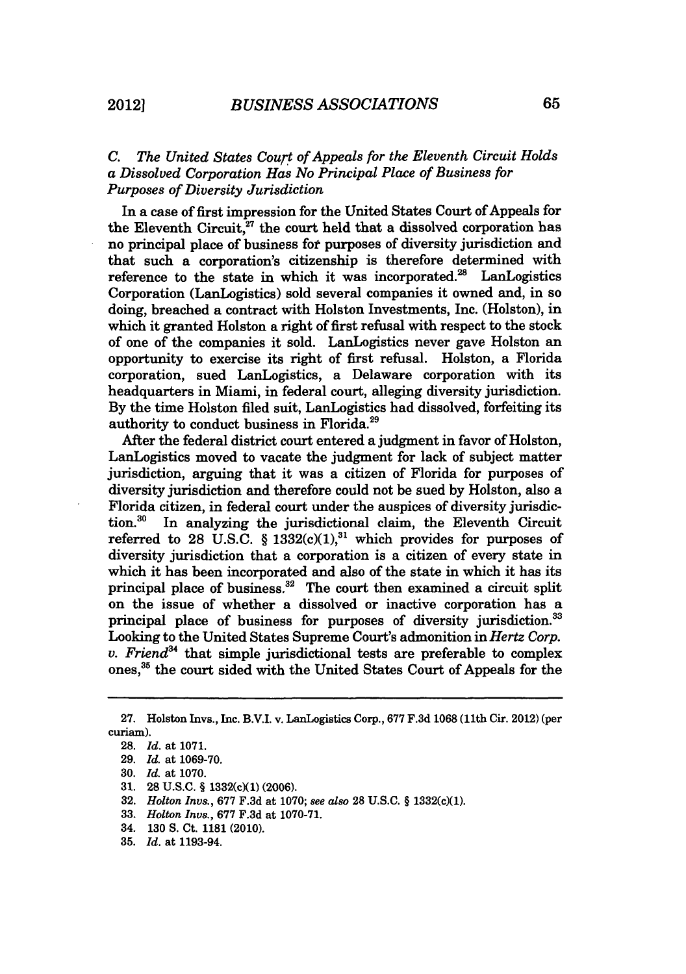## *C. The United States Court of Appeals for the Eleventh Circuit Holds a Dissolved Corporation Has No Principal Place of Business for Purposes of Diversity Jurisdiction*

In a case of first impression for the United States Court of Appeals for the Eleventh Circuit, $27$  the court held that a dissolved corporation has no principal place of business for purposes of diversity jurisdiction and that such a corporation's citizenship is therefore determined with reference to the state in which it was incorporated.<sup>28</sup> LanLogistics Corporation (LanLogistics) sold several companies it owned and, in so doing, breached a contract with Holston Investments, Inc. (Holston), in which it granted Holston a right of first refusal with respect to the stock of one of the companies it sold. LanLogistics never gave Holston an opportunity to exercise its right of first refusal. Holston, a Florida corporation, sued LanLogistics, a Delaware corporation with its headquarters in Miami, in federal court, alleging diversity jurisdiction. By the time Holston filed suit, LanLogistics had dissolved, forfeiting its authority to conduct business in Florida.29

After the federal district court entered a judgment in favor of Holston, LanLogistics moved to vacate the judgment for lack of subject matter jurisdiction, arguing that it was a citizen of Florida for purposes of diversity jurisdiction and therefore could not be sued by Holston, also a Florida citizen, in federal court under the auspices of diversity jurisdiction.30 In analyzing the jurisdictional claim, the Eleventh Circuit referred to 28 U.S.C. § 1332(c)(1),<sup>31</sup> which provides for purposes of diversity jurisdiction that a corporation is a citizen of every state in which it has been incorporated and also of the state in which it has its principal place of business. $32$  The court then examined a circuit split on the issue of whether a dissolved or inactive corporation has a principal place of business for purposes of diversity jurisdiction.<sup>33</sup> Looking to the United States Supreme Court's admonition in *Hertz Corp. v. Friend34* that simple jurisdictional tests are preferable to complex ones, 35 the court sided with the United States Court of Appeals for the

- 33. *Holton Invs.,* **677** F.3d at 1070-71.
- 34. 130 **S.** Ct. 1181 (2010).
- **35.** *Id.* at 1193-94.

<sup>27.</sup> Holston Invs., Inc. B.V.I. v. LanLogistics Corp., 677 F.3d 1068 (11th Cir. 2012) (per curiam).

<sup>28.</sup> *Id.* at 1071.

<sup>29.</sup> *Id.* at 1069-70.

<sup>30.</sup> *Id.* at 1070.

**<sup>31.</sup>** 28 **U.S.C.** § 1332(cXl) **(2006).**

<sup>32.</sup> *Holton Invs.,* 677 F.3d at 1070; see *also* **28** U.S.C. § 1332(c)(1).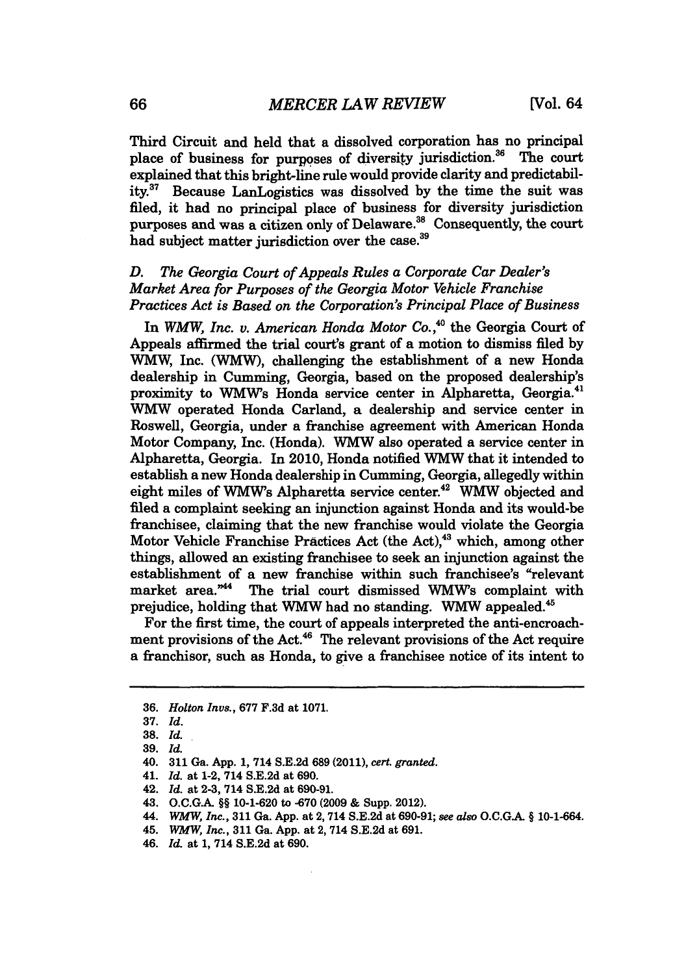Third Circuit and held that a dissolved corporation has no principal place of business for purposes of diversity jurisdiction.<sup>36</sup> The court explained that this bright-line rule would provide clarity and predictability.37 Because LanLogistics was dissolved by the time the suit was filed, it had no principal place of business for diversity jurisdiction purposes and was a citizen only of Delaware.<sup>38</sup> Consequently, the court had subject matter jurisdiction over the case.<sup>39</sup>

## *D. The Georgia Court of Appeals Rules a Corporate Car Dealer's Market Area for Purposes of the Georgia Motor Vehicle Franchise Practices Act is Based on the Corporation's Principal Place of Business*

In *WMW, Inc. v. American Honda Motor Co.*<sup>40</sup> the Georgia Court of Appeals affirmed the trial court's grant of a motion to dismiss filed **by WMW,** Inc. (WMW), challenging the establishment of a new Honda dealership in Cumming, Georgia, based on the proposed dealership's proximity to WMW's Honda service center in Alpharetta, Georgia.<sup>41</sup> **WMW** operated Honda Carland, a dealership and service center in Roswell, Georgia, under a franchise agreement with American Honda Motor Company, Inc. (Honda). WMW also operated a service center in Alpharetta, Georgia. In 2010, Honda notified WMW that it intended to establish a new Honda dealership in Cumming, Georgia, allegedly within eight miles of WMW's Alpharetta service center.42 **WMW** objected and filed a complaint seeking an injunction against Honda and its would-be franchisee, claiming that the new franchise would violate the Georgia Motor Vehicle Franchise Practices Act (the Act),<sup>43</sup> which, among other things, allowed an existing franchisee to seek an injunction against the establishment of a new franchise within such franchisee's "relevant market area."<sup>44</sup> The trial court dismissed WMW's complaint with prejudice, holding that WMW had no standing. WMW appealed.<sup>45</sup>

For the first time, the court of appeals interpreted the anti-encroachment provisions of the Act.<sup>46</sup> The relevant provisions of the Act require a franchisor, such as Honda, to give a franchisee notice of its intent to

<sup>36.</sup> *Holton Invs.,* 677 F.3d at 1071.

<sup>37.</sup> *Id.*

<sup>38.</sup> *Id.*

<sup>39.</sup> *Id.*

<sup>40.</sup> **311** Ga. **App.** 1, 714 S.E.2d 689 (2011), *cert. granted.*

<sup>41.</sup> *Id.* at 1-2, 714 S.E.2d at 690.

<sup>42.</sup> *Id.* at 2-3, 714 S.E.2d at 690-91.

<sup>43.</sup> O.C.G.A. §§ 10-1-620 to -670 (2009 & Supp. 2012).

<sup>44.</sup> *WMW, Inc.,* **311** Ga. App. at 2, 714 S.E.2d at 690-91; *see also* O.C.G.A. § 10-1-664.

<sup>45.</sup> *WMW,* Inc., **311** Ga. App. at 2, 714 S.E.2d at 691.

<sup>46.</sup> *Id.* at 1, 714 S.E.2d at 690.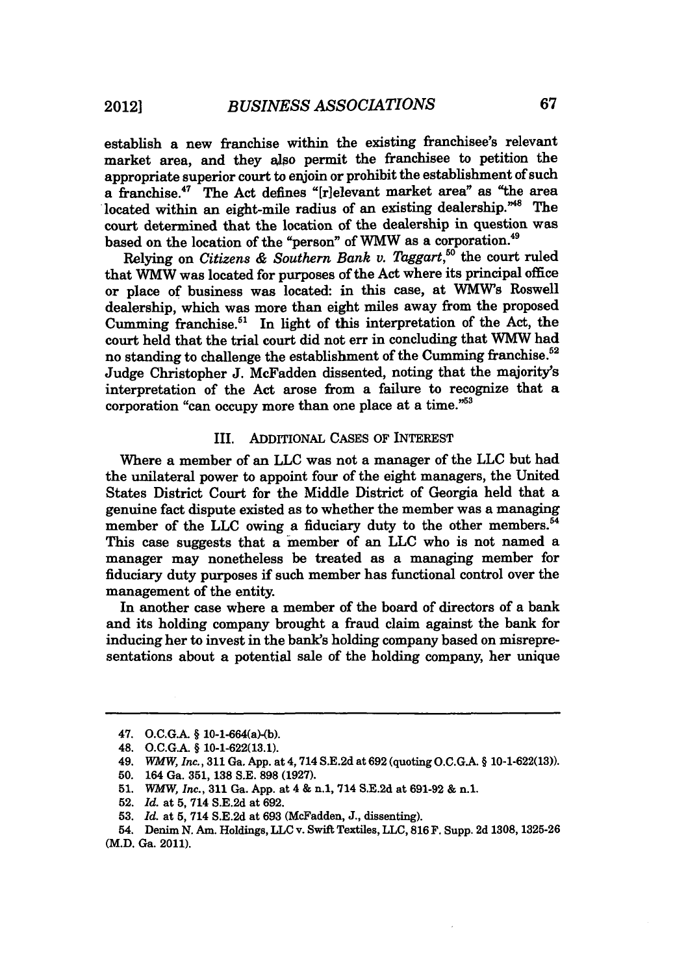establish a new franchise within the existing franchisee's relevant market area, and they **also** permit the franchisee to petition the appropriate superior court to enjoin or prohibit the establishment of such a franchise.<sup>47</sup> The Act defines "[r]elevant market area" as "the area located within an eight-mile radius of an existing dealership."<sup>48</sup> The court determined that the location of the dealership in question was based on the location of the "person" of WMW as a corporation.49

Relying on *Citizens & Southern Bank v. Taggart*,<sup>50</sup> the court ruled that WMW was located for purposes of the Act where its principal office or place of business was located: in this case, at **WMW's** Roswell dealership, which was more than eight miles away from the proposed Cumming franchise.<sup>51</sup> In light of this interpretation of the Act, the court held that the trial court did not err in concluding that **WMW** had no standing to challenge the establishment of the Cumming franchise.<sup>52</sup> Judge Christopher **J.** McFadden dissented, noting that the majority's interpretation of the Act arose from a failure to recognize that a corporation "can occupy more than one place at a time."<sup>53</sup>

#### III. **ADDITIONAL CASES** OF INTEREST

Where a member of an **LLC** was not a manager of the **LLC** but had the unilateral power to appoint four of the eight managers, the United States District Court for the Middle District of Georgia held that a genuine fact dispute existed as to whether the member was a managing member of the LLC owing a fiduciary duty to the other members.<sup>54</sup> This case suggests that a member of an **LLC** who is not named a manager may nonetheless be treated as a managing member for fiduciary duty purposes if such member has functional control over the management of the entity.

In another case where a member of the board of directors of a bank and its holding company brought a fraud claim against the bank for inducing her to invest in the bank's holding company based on misrepresentations about a potential sale of the holding company, her unique

- **50.** 164 Ga. **351, 138 S.E. 898 (1927).**
- **51.** WMW, *Inc.,* **311** Ga. **App.** at 4 & n.1, 714 **S.E.2d** at **691-92 &** n.1.
- **52.** *Id.* at **5,** 714 **S.E.2d** at **692.**
- **53.** *Id.* at **5,** 714 **S.E.2d** at **693** (McFadden, **J.,** dissenting).

**2012]**

<sup>47.</sup> **O.C.G.** § 10-1-664(a)-(b).

<sup>48.</sup> **O.C.G.A.** § **10-1-622(13.1).**

<sup>49.</sup> *WMW, Inc.,* **311** Ga. **App.** at 4,714 **S.E.2d** at **692** (quoting **O.C.G.A.** § **10-1-622(13)).**

<sup>54.</sup> Denim **N.** Am. Holdings, **LLC** v. Swift Textiles, **LLC, 816** F. Supp. **2d 1308, 1325-26** (M.D. Ga. 2011).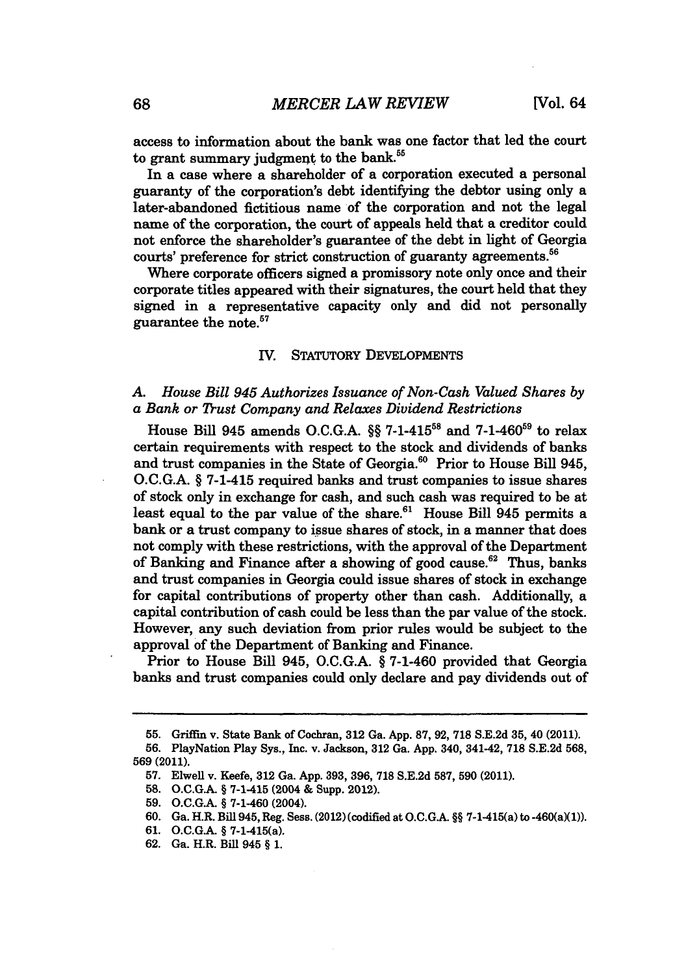access to information about the bank was one factor that led the court to grant summary judgment to the bank.<sup>55</sup>

In a case where a shareholder of a corporation executed a personal guaranty of the corporation's debt identifying the debtor using only a later-abandoned fictitious name of the corporation and not the legal name of the corporation, the court of appeals held that a creditor could not enforce the shareholder's guarantee of the debt in light of Georgia courts' preference for strict construction of guaranty agreements.<sup>56</sup>

Where corporate officers signed a promissory note only once and their corporate titles appeared with their signatures, the court held that they signed in a representative capacity only and did not personally guarantee the note. <sup>57</sup>

#### IV. STATUTORY **DEVELOPMENTS**

#### *A. House Bill 945 Authorizes Issuance of Non-Cash Valued Shares by a Bank or Trust Company and Relaxes Dividend Restrictions*

House Bill 945 amends **O.C.G.A.** §§ **7-1-415'8** and **7-1-46059** to relax certain requirements with respect to the stock and dividends of banks and trust companies in the State of Georgia.<sup>60</sup> Prior to House Bill 945, **O.C.G.A.** § 7-1-415 required banks and trust companies to issue shares of stock only in exchange for cash, and such cash was required to be at least equal to the par value of the share. $61$  House Bill 945 permits a bank or a trust company to issue shares of stock, in a manner that does not comply with these restrictions, with the approval of the Department of Banking and Finance after a showing of good cause.<sup>62</sup> Thus, banks and trust companies in Georgia could issue shares of stock in exchange for capital contributions of property other than cash. Additionally, a capital contribution of cash could be less than the par value of the stock. However, any such deviation from prior rules would be subject to the approval of the Department of Banking and Finance.

Prior to House Bill 945, **O.C.G.A.** § 7-1-460 provided that Georgia banks and trust companies could only declare and pay dividends out of

- 61. O.C.G.A. § 7-1-415(a).
- 62. Ga. H.R. Bill 945 § 1.

**<sup>55.</sup>** Griffin v. State Bank of Cochran, **312** Ga. **App. 87, 92, 718 S.E.2d 35,** 40 (2011).

**<sup>56.</sup>** PlayNation Play Sys., Inc. v. Jackson, **312** Ga. **App.** 340, 341-42, **718 S.E.2d 568, 569 (2011).**

**<sup>57.</sup>** Elwell v. Keefe, **312** Ga. **App. 393, 396, 718 S.E.2d 587, 590** (2011).

**<sup>58.</sup>** O.C.G.A. § 7-1-415 (2004 & Supp. 2012).

<sup>59.</sup> O.C.G.A. § 7-1-460 (2004).

<sup>60.</sup> Ga. H.R. Bill 945, Reg. Sess. (2012) (codified at O.C.G.A. §§ 7-1-415(a) to -460(a)(1)).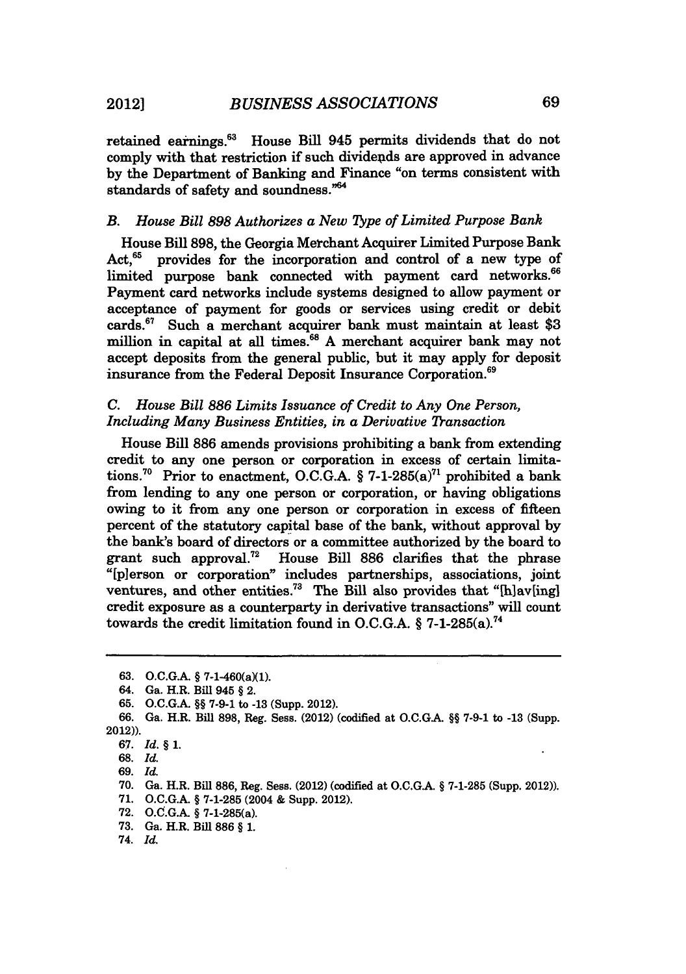retained earnings.<sup>63</sup> House Bill 945 permits dividends that do not comply with that restriction if such dividends are approved in advance by the Department of Banking and Finance "on terms consistent with standards of safety and soundness."<sup>64</sup>

#### *B. House Bill 898 Authorizes a New ype of Limited Purpose Bank*

House Bill 898, the Georgia Merchant Acquirer Limited Purpose Bank Act,  $65$  provides for the incorporation and control of a new type of limited purpose bank connected with payment card networks.<sup>66</sup> Payment card networks include systems designed to allow payment or acceptance of payment for goods or services using credit or debit cards.<sup>67</sup> Such a merchant acquirer bank must maintain at least \$3 million in capital at all times.<sup>68</sup> A merchant acquirer bank may not accept deposits from the general public, but it may apply for deposit insurance from the Federal Deposit Insurance Corporation.<sup>69</sup>

#### *C. House Bill 886 Limits Issuance of Credit to Any One Person, Including Many Business Entities, in a Derivative Transaction*

House Bill 886 amends provisions prohibiting a bank from extending credit to any one person or corporation in excess of certain limitations.<sup>70</sup> Prior to enactment, O.C.G.A. § 7-1-285(a)<sup>71</sup> prohibited a bank from lending to any one person or corporation, or having obligations owing to it from any one person or corporation in excess of fifteen percent of the statutory capital base of the bank, without approval by the bank's board of directors or a committee authorized by the board to grant such approval.<sup>72</sup> House Bill 886 clarifies that the phrase "[pierson or corporation" includes partnerships, associations, joint ventures, and other entities.<sup>73</sup> The Bill also provides that "[h]av[ing] credit exposure as a counterparty in derivative transactions" will count towards the credit limitation found in O.C.G.A.  $\S$  7-1-285(a).<sup>74</sup>

- **71.** O.C.G.A. § 7-1-285 (2004 & Supp. 2012).
- **72.** O.C.G.A. § 7-1-285(a).
- 73. Ga. H.R. Bill 886 § 1.
- 74. *Id.*

<sup>63.</sup> O.C.G.A. § 7-1-460(a)(1).

<sup>64.</sup> Ga. H.R. Bill 945 § 2.

<sup>65.</sup> O.C.G.A. §§ 7-9-1 to **-13** (Supp. 2012).

<sup>66.</sup> Ga. H.R. Bill 898, Reg. Sess. (2012) (codified at O.C.GA. §§ 7-9-1 to -13 (Supp. 2012)).

<sup>67.</sup> *Id.* § **1.**

<sup>68.</sup> *Id.*

<sup>69.</sup> *Id.*

<sup>70.</sup> Ga. H.R. Bill 886, Reg. Sess. (2012) (codified at O.C.GA. § 7-1-285 (Supp. 2012)).